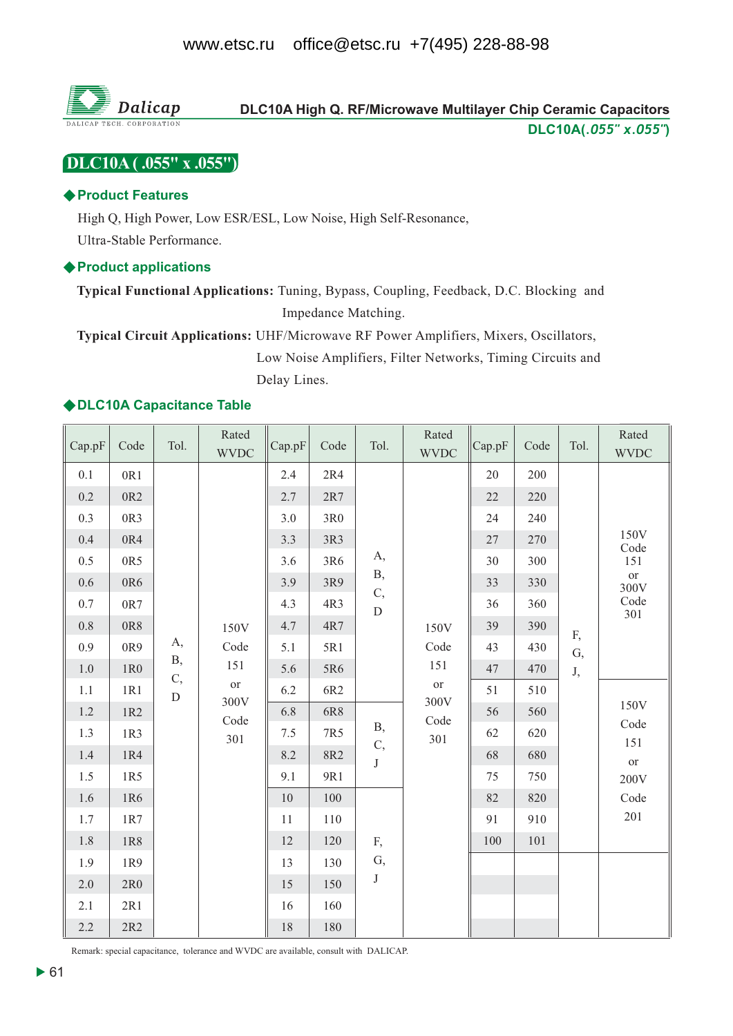

# DLC10A (.055" x .055")

# ♦ Product Features

High Q, High Power, Low ESR/ESL, Low Noise, High Self-Resonance, Ultra-Stable Performance.

# ♦ Product applications

Typical Functional Applications: Tuning, Bypass, Coupling, Feedback, D.C. Blocking and Impedance Matching.

Typical Circuit Applications: UHF/Microwave RF Power Amplifiers, Mixers, Oscillators, Low Noise Amplifiers, Filter Networks, Timing Circuits and Delay Lines.

# ◆DLC10A Capacitance Table

| Cap.pF                                                                 | Code                                                                                       | Tol.                       | Rated<br><b>WVDC</b>                    | Cap.pF                                                             | Code                                                               | Tol.                                   | Rated<br><b>WVDC</b>             | $\mathcal{C}$ ap.pF                                      | Code                                                               | Tol.     | Rated<br><b>WVDC</b>                                          |
|------------------------------------------------------------------------|--------------------------------------------------------------------------------------------|----------------------------|-----------------------------------------|--------------------------------------------------------------------|--------------------------------------------------------------------|----------------------------------------|----------------------------------|----------------------------------------------------------|--------------------------------------------------------------------|----------|---------------------------------------------------------------|
| 0.1<br>0.2<br>0.3<br>0.4<br>0.5<br>0.6<br>0.7<br>0.8<br>0.9<br>$1.0\,$ | 0R1<br>0R <sub>2</sub><br>0R3<br>0R4<br>0R5<br>0R6<br>0R7<br>0R8<br>0R9<br>1R <sub>0</sub> | А,<br>Β,                   | 150V<br>Code                            | 2.4<br>2.7<br>3.0<br>3.3<br>3.6<br>3.9<br>4.3<br>4.7<br>5.1<br>5.6 | 2R4<br>2R7<br>3R0<br>3R3<br>3R6<br>3R9<br>4R3<br>4R7<br>5R1<br>5R6 | А,<br><b>B</b> ,<br>C,<br>${\bf D}$    | 150V<br>Code<br>151              | 20<br>22<br>24<br>27<br>30<br>33<br>36<br>39<br>43<br>47 | 200<br>220<br>240<br>270<br>300<br>330<br>360<br>390<br>430<br>470 | F,<br>G, | 150V<br>$\rm Code$<br>151<br><b>or</b><br>300V<br>Code<br>301 |
| 1.1<br>1.2<br>1.3<br>1.4<br>1.5                                        | 1R1<br>1R2<br>1R3<br>1R4<br>1R5                                                            | $\mathbf{C},$<br>${\bf D}$ | 151<br><b>or</b><br>300V<br>Code<br>301 | 6.2<br>6.8<br>7.5<br>8.2<br>9.1                                    | 6R2<br>6R8<br>7R5<br><b>8R2</b><br>9R1                             | <b>B</b> ,<br>$\mathbf{C},$<br>$\bf J$ | <b>or</b><br>300V<br>Code<br>301 | 51<br>56<br>62<br>68<br>75                               | 510<br>560<br>620<br>680<br>750                                    | J,       | 150V<br>Code<br>151<br><b>or</b><br>200V                      |
| 1.6<br>1.7<br>1.8<br>1.9<br>2.0<br>2.1<br>2.2                          | 1R6<br>1R7<br>1R8<br>1R9<br>2R0<br>2R1<br>2R2                                              |                            |                                         | 10<br>11<br>$12\,$<br>13<br>15<br>16<br>$18\,$                     | 100<br>110<br>120<br>130<br>150<br>160<br>180                      | F,<br>G,<br>$\bf J$                    |                                  | 82<br>91<br>100                                          | 820<br>910<br>101                                                  |          | Code<br>201                                                   |

Remark: special capacitance, tolerance and WVDC are available, consult with DALICAP.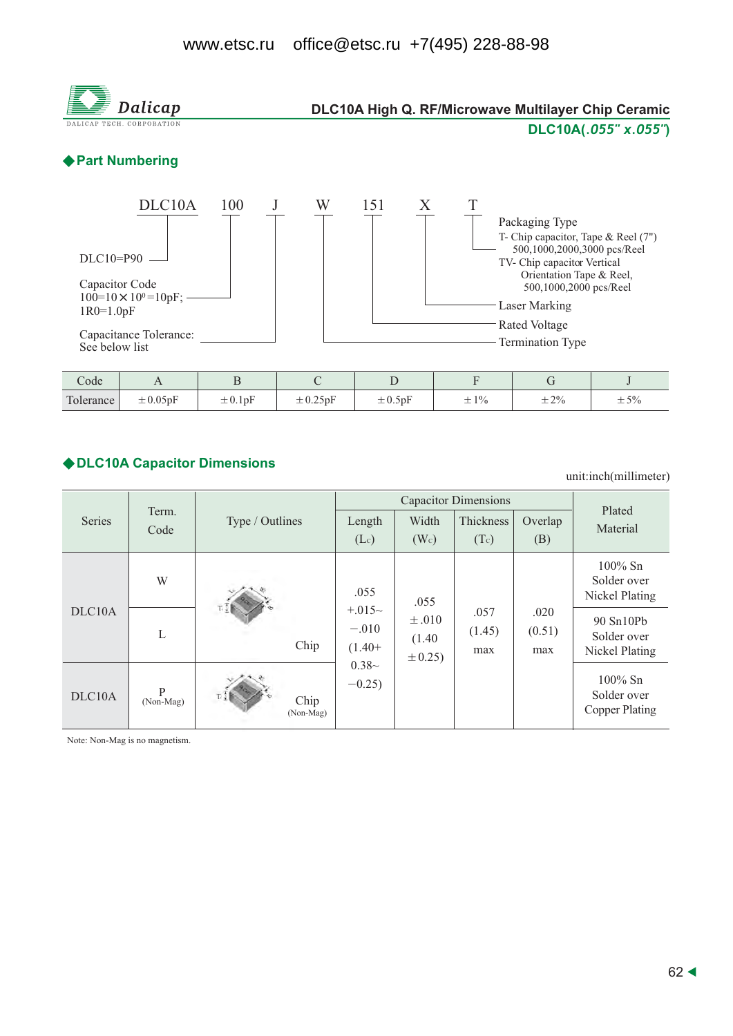

# ◆ DLC10A Capacitor Dimensions

unit:inch(millimeter)

|                     |                |                   |                                 | Plated                               |                       |                                                             |                                                    |
|---------------------|----------------|-------------------|---------------------------------|--------------------------------------|-----------------------|-------------------------------------------------------------|----------------------------------------------------|
| Series              | Term.<br>Code  | Type / Outlines   | Length                          | Width                                | Thickness             | Overlap                                                     | Material                                           |
|                     |                |                   | $(L_c)$                         | (W <sub>c</sub> )                    | (Tc)                  | <b>Capacitor Dimensions</b><br>(B)<br>.020<br>(0.51)<br>max |                                                    |
|                     | W              |                   | .055                            | .055                                 |                       |                                                             | $100\%$ Sn<br>Solder over<br>Nickel Plating        |
| DLC <sub>10</sub> A | L              | Chip              | $+.015~$<br>$-.010$<br>$(1.40+$ | $\pm .010$<br>(1.40)<br>$\pm 0.25$ ) | .057<br>(1.45)<br>max |                                                             | 90 Sn10Pb<br>Solder over<br>Nickel Plating         |
| DLC10A              | P<br>(Non-Mag) | Chip<br>(Non-Mag) | $0.38-$<br>$-0.25$              |                                      |                       |                                                             | $100\%$ Sn<br>Solder over<br><b>Copper Plating</b> |

Note: Non-Mag is no magnetism.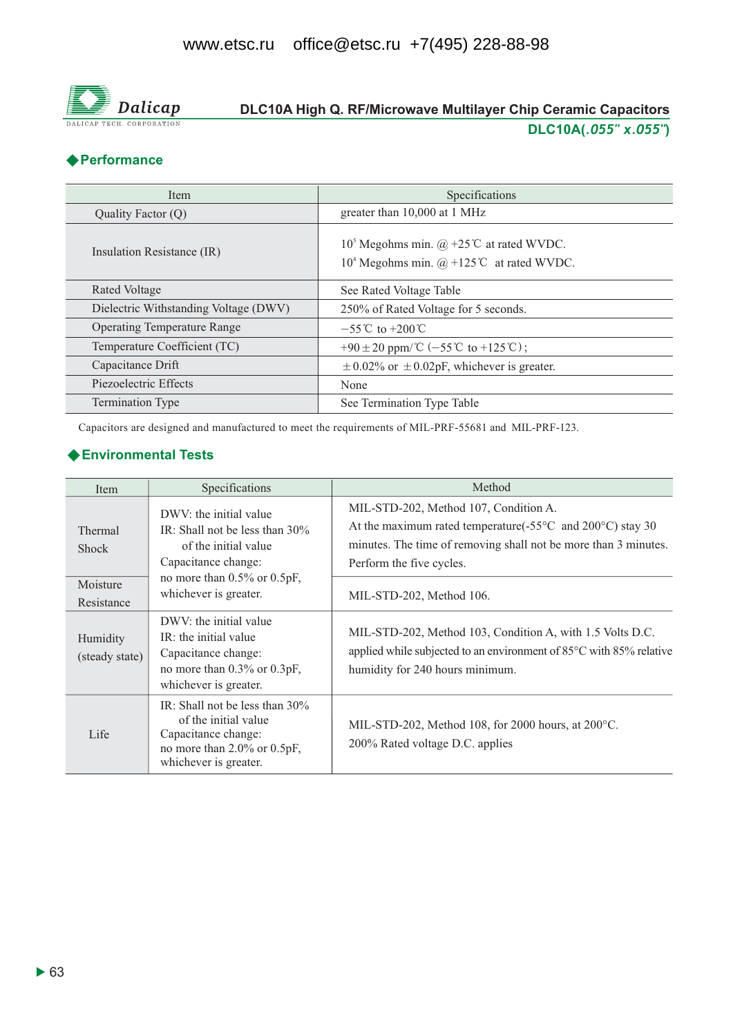

# DLC10A High Q. RF/Microwave Multilayer Chip Ceramic Capacitors DLC10A(.055" x.055")

# ◆ Performance

| Item                                  | Specifications                                                                                                               |  |  |  |  |
|---------------------------------------|------------------------------------------------------------------------------------------------------------------------------|--|--|--|--|
| Quality Factor (Q)                    | greater than 10,000 at 1 MHz                                                                                                 |  |  |  |  |
| Insulation Resistance (IR)            | 10 <sup>5</sup> Megohms min. @ +25 <sup>°</sup> C at rated WVDC.<br>10 <sup>4</sup> Megohms min. $@ + 125$ °C at rated WVDC. |  |  |  |  |
| Rated Voltage                         | See Rated Voltage Table                                                                                                      |  |  |  |  |
| Dielectric Withstanding Voltage (DWV) | 250% of Rated Voltage for 5 seconds.                                                                                         |  |  |  |  |
| <b>Operating Temperature Range</b>    | $-55^{\circ}$ C to $+200^{\circ}$ C                                                                                          |  |  |  |  |
| Temperature Coefficient (TC)          | +90 ± 20 ppm/ $\mathbb{C}$ (-55 $\mathbb{C}$ to +125 $\mathbb{C}$ );                                                         |  |  |  |  |
| Capacitance Drift                     | $\pm$ 0.02% or $\pm$ 0.02pF, whichever is greater.                                                                           |  |  |  |  |
| Piezoelectric Effects                 | None                                                                                                                         |  |  |  |  |
| <b>Termination Type</b>               | See Termination Type Table                                                                                                   |  |  |  |  |

Capacitors are designed and manufactured to meet the requirements of MIL-PRF-55681 and MIL-PRF-123.

# ◆ Environmental Tests

| <b>Item</b>                    | Specifications                                                                                                                                  | Method                                                                                                                                                                                                       |  |  |  |  |
|--------------------------------|-------------------------------------------------------------------------------------------------------------------------------------------------|--------------------------------------------------------------------------------------------------------------------------------------------------------------------------------------------------------------|--|--|--|--|
| <b>Thermal</b><br><b>Shock</b> | DWV: the initial value<br>IR: Shall not be less than $30\%$<br>of the initial value<br>Capacitance change:<br>no more than $0.5\%$ or $0.5pF$ , | MIL-STD-202, Method 107, Condition A.<br>At the maximum rated temperature(- $55^{\circ}$ C and 200°C) stay 30<br>minutes. The time of removing shall not be more than 3 minutes.<br>Perform the five cycles. |  |  |  |  |
| Moisture<br>Resistance         | whichever is greater.                                                                                                                           | MIL-STD-202, Method 106.                                                                                                                                                                                     |  |  |  |  |
| Humidity<br>(steady state)     | DWV: the initial value<br>IR: the initial value<br>Capacitance change:<br>no more than 0.3% or 0.3pF,<br>whichever is greater.                  | MIL-STD-202, Method 103, Condition A, with 1.5 Volts D.C.<br>applied while subjected to an environment of 85°C with 85% relative<br>humidity for 240 hours minimum.                                          |  |  |  |  |
| Life                           | IR: Shall not be less than $30\%$<br>of the initial value<br>Capacitance change:<br>no more than $2.0\%$ or $0.5pF$ ,<br>whichever is greater.  | MIL-STD-202, Method 108, for 2000 hours, at $200^{\circ}$ C.<br>200% Rated voltage D.C. applies                                                                                                              |  |  |  |  |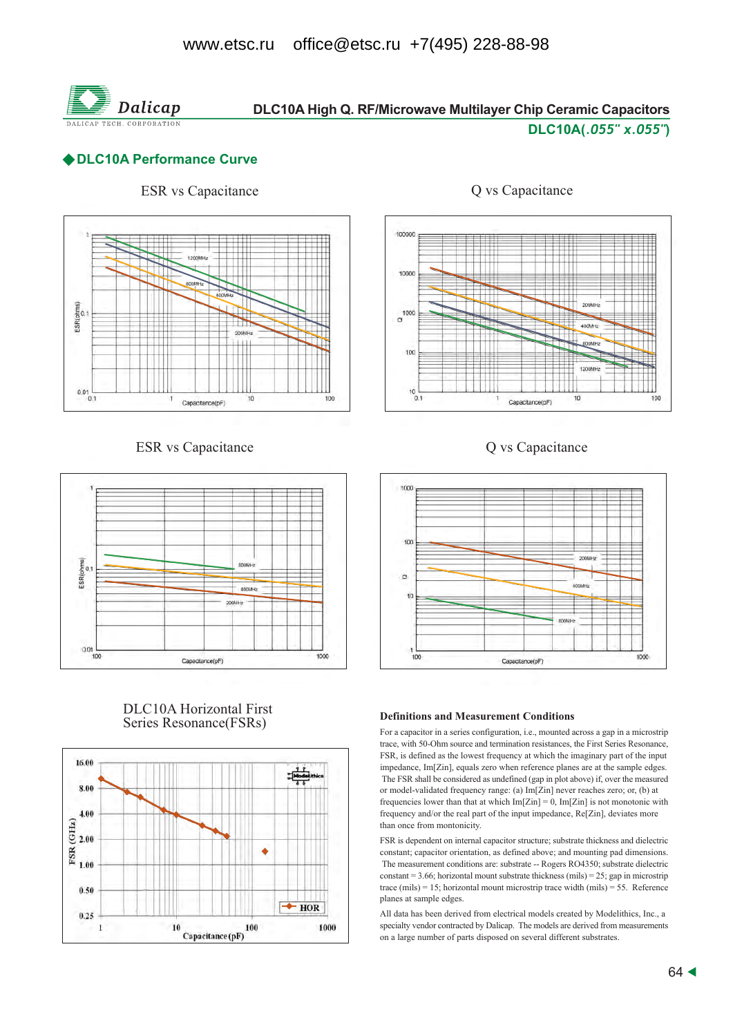

# DLC10A High Q. RF/Microwave Multilayer Chip Ceramic Capacitors

## DLC10A(.055" x.055")

# ◆DLC10A Performance Curve

# **ESR** vs Capacitance



### **ESR** vs Capacitance



### **DLC10A Horizontal First** Series Resonance(FSRs)





# Q vs Capacitance





#### **Definitions and Measurement Conditions**

For a capacitor in a series configuration, i.e., mounted across a gap in a microstrip trace, with 50-Ohm source and termination resistances, the First Series Resonance, FSR, is defined as the lowest frequency at which the imaginary part of the input impedance, Im[Zin], equals zero when reference planes are at the sample edges. The FSR shall be considered as undefined (gap in plot above) if, over the measured or model-validated frequency range: (a) Im[Zin] never reaches zero; or, (b) at frequencies lower than that at which  $Im[Zin] = 0$ ,  $Im[Zin]$  is not monotonic with frequency and/or the real part of the input impedance, Re[Zin], deviates more than once from montonicity.

FSR is dependent on internal capacitor structure; substrate thickness and dielectric constant; capacitor orientation, as defined above; and mounting pad dimensions. The measurement conditions are: substrate -- Rogers RO4350; substrate dielectric constant = 3.66; horizontal mount substrate thickness (mils) = 25; gap in microstrip trace (mils) = 15; horizontal mount microstrip trace width (mils) = 55. Reference planes at sample edges.

All data has been derived from electrical models created by Modelithics, Inc., a specialty vendor contracted by Dalicap. The models are derived from measurements on a large number of parts disposed on several different substrates.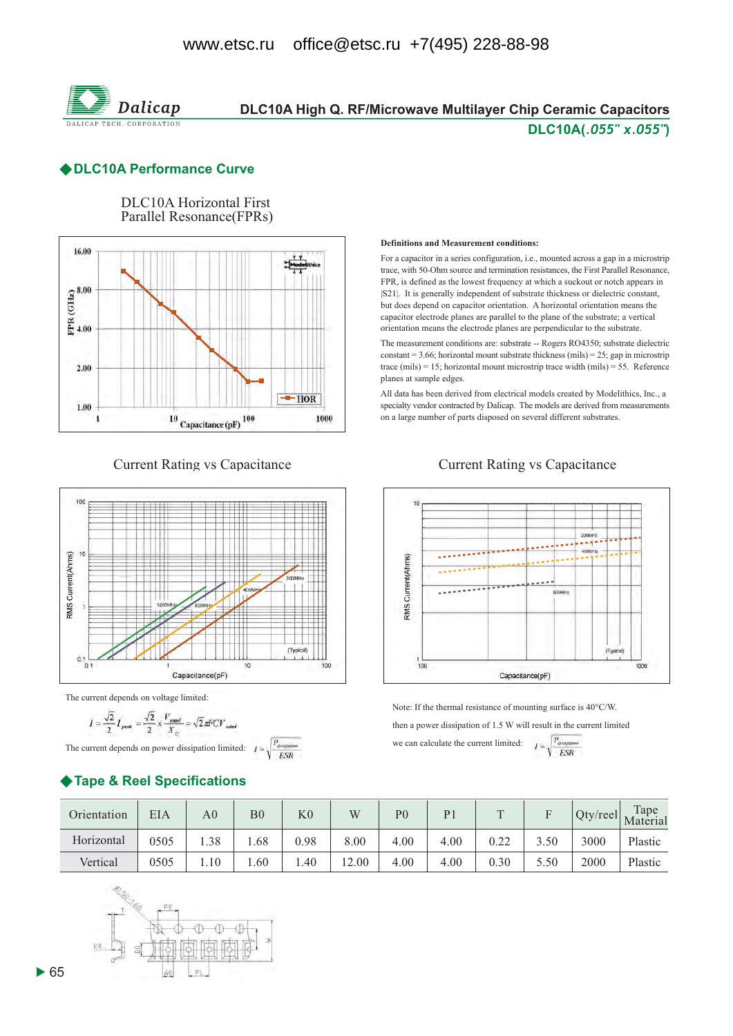

# DLC10A High Q. RF/Microwave Multilayer Chip Ceramic Capacitors DLC10A(.055" x.055")

### **DLC10A Performance Curve**

**DLC10A Horizontal First** Parallel Resonance(FPRs)



**Current Rating vs Capacitance** 



The current depends on voltage limited:

$$
I = \frac{\sqrt{2}}{2} I_{peak} = \frac{\sqrt{2}}{2} \times \frac{V_{rand}}{X_C} = \sqrt{2} \pi \text{FCV}_{rad}
$$

The current depends on power dissipation limited:  $I =$ 

# ◆ Tape & Reel Specifications

#### **Definitions and Measurement conditions:**

For a capacitor in a series configuration, i.e., mounted across a gap in a microstrip trace, with 50-Ohm source and termination resistances, the First Parallel Resonance. FPR, is defined as the lowest frequency at which a suckout or notch appears in [S21]. It is generally independent of substrate thickness or dielectric constant, but does depend on capacitor orientation. A horizontal orientation means the capacitor electrode planes are parallel to the plane of the substrate; a vertical orientation means the electrode planes are perpendicular to the substrate.

The measurement conditions are: substrate -- Rogers RO4350; substrate dielectric constant = 3.66; horizontal mount substrate thickness (mils) = 25; gap in microstrip trace (mils) = 15; horizontal mount microstrip trace width (mils) = 55. Reference planes at sample edges.

All data has been derived from electrical models created by Modelithics, Inc., a specialty vendor contracted by Dalicap. The models are derived from measurements on a large number of parts disposed on several different substrates.

**Current Rating vs Capacitance** 



Note: If the thermal resistance of mounting surface is 40°C/W.

then a power dissipation of 1.5 W will result in the current limited

we can calculate the current limited

$$
I = \sqrt{\frac{P_{\text{downon}}}{ESR}}
$$

| Orientation | <b>EIA</b> | A <sub>0</sub> | B <sub>0</sub> | $_{\rm K0}$ | W     | P <sub>0</sub> | P <sub>1</sub> | $\mathbf{r}$ | $\blacksquare$ | $Qty$ /reel | Tape<br>Material |
|-------------|------------|----------------|----------------|-------------|-------|----------------|----------------|--------------|----------------|-------------|------------------|
| Horizontal  | 0505       | 1.38           | .68            | 0.98        | 8.00  | 4.00           | 4.00           | 0.22         | 3.50           | 3000        | Plastic          |
| Vertical    | 0505       | $\ldots 10$    | .60            | .40         | 12.00 | 4.00           | 4.00           | 0.30         | 5.50           | 2000        | Plastic          |